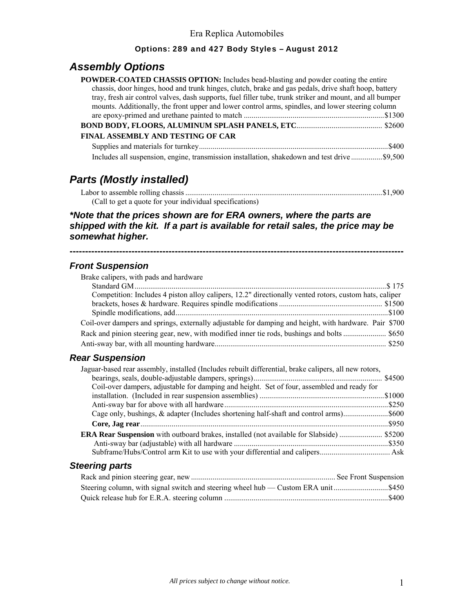#### Options: 289 and 427 Body Styles – August 2012

## *Assembly Options*

| <b>POWDER-COATED CHASSIS OPTION:</b> Includes bead-blasting and powder coating the entire                |
|----------------------------------------------------------------------------------------------------------|
| chassis, door hinges, hood and trunk hinges, clutch, brake and gas pedals, drive shaft hoop, battery     |
| tray, fresh air control valves, dash supports, fuel filler tube, trunk striker and mount, and all bumper |
| mounts. Additionally, the front upper and lower control arms, spindles, and lower steering column        |
|                                                                                                          |
|                                                                                                          |
| FINAL ASSEMBLY AND TESTING OF CAR                                                                        |
|                                                                                                          |
| Includes all suspension, engine, transmission installation, shakedown and test drive  \$9,500            |

## *Parts (Mostly installed)*

| (Call to get a quote for your individual specifications) |  |
|----------------------------------------------------------|--|

#### *\*Note that the prices shown are for ERA owners, where the parts are shipped with the kit. If a part is available for retail sales, the price may be somewhat higher.*

**------------------------------------------------------------------------------------------------------------** 

#### *Front Suspension*

| Brake calipers, with pads and hardware                                                                 |        |
|--------------------------------------------------------------------------------------------------------|--------|
| Standard GM                                                                                            | \$175  |
| Competition: Includes 4 piston alloy calipers, 12.2" directionally vented rotors, custom hats, caliper |        |
|                                                                                                        |        |
|                                                                                                        |        |
| Coil-over dampers and springs, externally adjustable for damping and height, with hardware. Pair \$700 |        |
|                                                                                                        |        |
|                                                                                                        |        |
| <b>Rear Suspension</b>                                                                                 |        |
| Jaguar-based rear assembly, installed (Includes rebuilt differential, brake calipers, all new rotors,  |        |
|                                                                                                        | \$4500 |
| Coil-over dampers, adjustable for damping and height. Set of four, assembled and ready for             |        |
|                                                                                                        |        |
|                                                                                                        |        |
|                                                                                                        |        |
|                                                                                                        |        |
| <b>ERA Rear Suspension</b> with outboard brakes, installed (not available for Slabside)  \$5200        |        |
|                                                                                                        |        |
|                                                                                                        |        |
| <b>Steering parts</b>                                                                                  |        |
|                                                                                                        |        |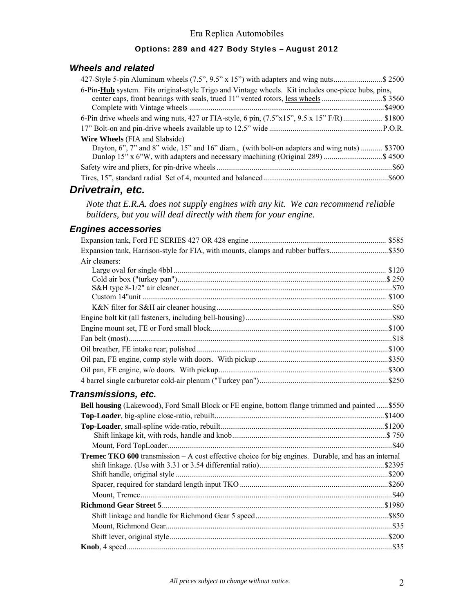### Options: 289 and 427 Body Styles – August 2012

#### *Wheels and related*

| 427-Style 5-pin Aluminum wheels (7.5", 9.5" x 15") with adapters and wing nuts\$ 2500                                   |
|-------------------------------------------------------------------------------------------------------------------------|
| 6-Pin-Hub system. Fits original-style Trigo and Vintage wheels. Kit includes one-piece hubs, pins,                      |
| center caps, front bearings with seals, trued 11" vented rotors, less wheels \$ 3560                                    |
|                                                                                                                         |
| 6-Pin drive wheels and wing nuts, 427 or FIA-style, 6 pin, $(7.5^{\circ}x15^{\circ}, 9.5 \times 15^{\circ} F/R)$ \$1800 |
|                                                                                                                         |
| <b>Wire Wheels</b> (FIA and Slabside)                                                                                   |
| Dayton, 6", 7" and 8" wide, 15" and 16" diam., (with bolt-on adapters and wing nuts)  \$3700                            |
| Dunlop 15" x 6"W, with adapters and necessary machining (Original 289) \$ 4500                                          |
|                                                                                                                         |
|                                                                                                                         |

# *Drivetrain, etc.*

*Note that E.R.A. does not supply engines with any kit. We can recommend reliable builders, but you will deal directly with them for your engine.* 

#### *Engines accessories*

| Air cleaners:                                                                                       |  |
|-----------------------------------------------------------------------------------------------------|--|
|                                                                                                     |  |
|                                                                                                     |  |
|                                                                                                     |  |
|                                                                                                     |  |
|                                                                                                     |  |
|                                                                                                     |  |
|                                                                                                     |  |
|                                                                                                     |  |
|                                                                                                     |  |
|                                                                                                     |  |
|                                                                                                     |  |
|                                                                                                     |  |
| Transmissions, etc.                                                                                 |  |
| Bell housing (Lakewood), Ford Small Block or FE engine, bottom flange trimmed and painted  \$550    |  |
|                                                                                                     |  |
|                                                                                                     |  |
|                                                                                                     |  |
|                                                                                                     |  |
| Tremec TKO 600 transmission - A cost effective choice for big engines. Durable, and has an internal |  |
|                                                                                                     |  |
|                                                                                                     |  |
|                                                                                                     |  |
|                                                                                                     |  |
|                                                                                                     |  |
|                                                                                                     |  |
|                                                                                                     |  |
|                                                                                                     |  |
|                                                                                                     |  |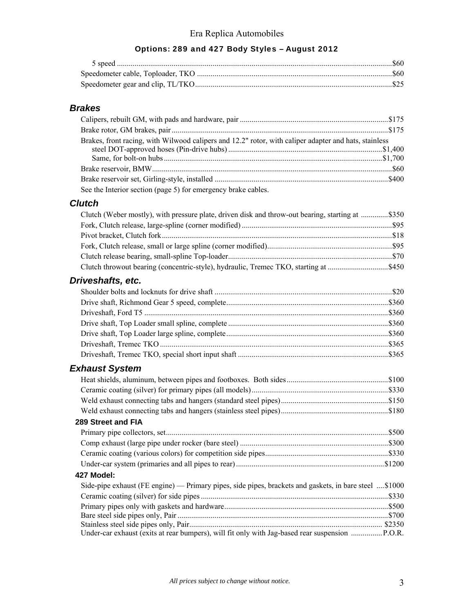### Options: 289 and 427 Body Styles – August 2012

### *Brakes*

| Brakes, front racing, with Wilwood calipers and 12.2" rotor, with caliper adapter and hats, stainless |  |
|-------------------------------------------------------------------------------------------------------|--|
|                                                                                                       |  |
|                                                                                                       |  |
|                                                                                                       |  |
|                                                                                                       |  |
| See the Interior section (page 5) for emergency brake cables.                                         |  |

#### *Clutch*

| Clutch (Weber mostly), with pressure plate, driven disk and throw-out bearing, starting at \$350      |  |
|-------------------------------------------------------------------------------------------------------|--|
|                                                                                                       |  |
|                                                                                                       |  |
|                                                                                                       |  |
|                                                                                                       |  |
|                                                                                                       |  |
| Driveshafts, etc.                                                                                     |  |
|                                                                                                       |  |
|                                                                                                       |  |
|                                                                                                       |  |
|                                                                                                       |  |
|                                                                                                       |  |
|                                                                                                       |  |
|                                                                                                       |  |
| <b>Exhaust System</b>                                                                                 |  |
|                                                                                                       |  |
|                                                                                                       |  |
|                                                                                                       |  |
|                                                                                                       |  |
| 289 Street and FIA                                                                                    |  |
|                                                                                                       |  |
|                                                                                                       |  |
|                                                                                                       |  |
|                                                                                                       |  |
| 427 Model:                                                                                            |  |
| Side-pipe exhaust (FE engine) — Primary pipes, side pipes, brackets and gaskets, in bare steel \$1000 |  |
|                                                                                                       |  |
|                                                                                                       |  |
|                                                                                                       |  |
|                                                                                                       |  |
| Under-car exhaust (exits at rear bumpers), will fit only with Jag-based rear suspension  P.O.R.       |  |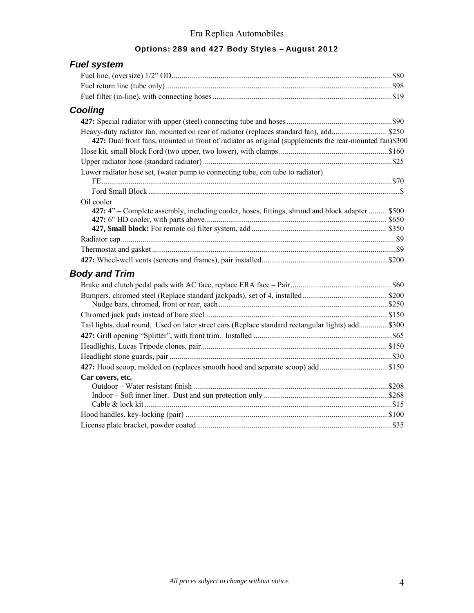# Options: 289 and 427 Body Styles – August 2012

| <b>Fuel system</b>                                                                                            |  |
|---------------------------------------------------------------------------------------------------------------|--|
|                                                                                                               |  |
|                                                                                                               |  |
|                                                                                                               |  |
| Cooling                                                                                                       |  |
|                                                                                                               |  |
| 427: Dual front fans, mounted in front of radiator as original (supplements the rear-mounted fan)\$300        |  |
|                                                                                                               |  |
|                                                                                                               |  |
| Lower radiator hose set, (water pump to connecting tube, con tube to radiator)                                |  |
|                                                                                                               |  |
| Oil cooler<br>427: 4" – Complete assembly, including cooler, hoses, fittings, shroud and block adapter  \$500 |  |
|                                                                                                               |  |
|                                                                                                               |  |
|                                                                                                               |  |
|                                                                                                               |  |
|                                                                                                               |  |
| <b>Body and Trim</b>                                                                                          |  |
|                                                                                                               |  |
|                                                                                                               |  |
|                                                                                                               |  |
|                                                                                                               |  |
| Tail lights, dual round. Used on later street cars (Replace standard rectangular lights) add\$300             |  |
|                                                                                                               |  |
|                                                                                                               |  |
|                                                                                                               |  |
|                                                                                                               |  |
| Car covers, etc.                                                                                              |  |
|                                                                                                               |  |
|                                                                                                               |  |
|                                                                                                               |  |
|                                                                                                               |  |
|                                                                                                               |  |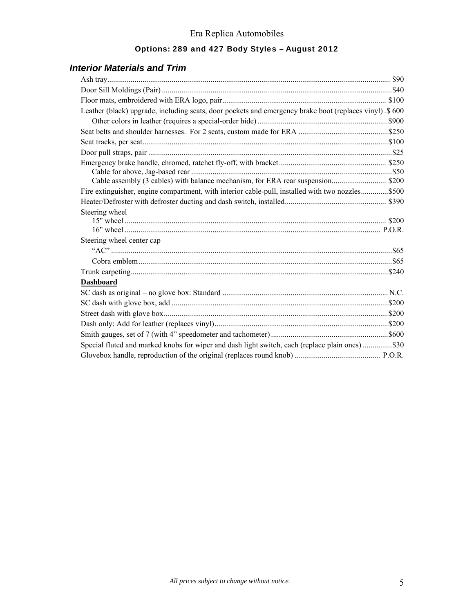### Options: 289 and 427 Body Styles – August 2012

### *Interior Materials and Trim*

| Leather (black) upgrade, including seats, door pockets and emergency brake boot (replaces vinyl). \$600 |  |
|---------------------------------------------------------------------------------------------------------|--|
|                                                                                                         |  |
|                                                                                                         |  |
|                                                                                                         |  |
|                                                                                                         |  |
|                                                                                                         |  |
|                                                                                                         |  |
|                                                                                                         |  |
| Fire extinguisher, engine compartment, with interior cable-pull, installed with two nozzles\$500        |  |
|                                                                                                         |  |
| Steering wheel                                                                                          |  |
|                                                                                                         |  |
|                                                                                                         |  |
| Steering wheel center cap                                                                               |  |
|                                                                                                         |  |
|                                                                                                         |  |
|                                                                                                         |  |
| <b>Dashboard</b>                                                                                        |  |
|                                                                                                         |  |
|                                                                                                         |  |
|                                                                                                         |  |
|                                                                                                         |  |
|                                                                                                         |  |
| Special fluted and marked knobs for wiper and dash light switch, each (replace plain ones) \$30         |  |
|                                                                                                         |  |